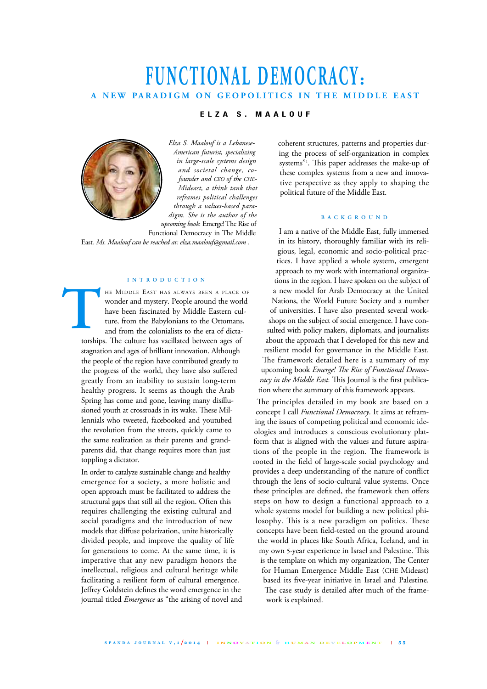## **FUNCTIONAL DEMOCRACY:** A NEW PARADIGM ON GEOPOLITICS IN THE MIDDLE EAST

## **E L Z A S . M A A L O U F**



*Elza S. Maalouf is a Lebanese-American futurist, specializing in large-scale systems design and societal change, cofounder and CEO of the CHE-Mideast, a think tank that reframes political challenges through a values-based paradigm. She is the author of the upcoming book*: Emerge!The Rise of

Functional Democracy in The Middle East*. Ms. Maalouf can be reached at: elza.maalouf@gmail.com .*

#### **I N T R O D U C T I O N**

HE MIDDLE EAST HAS ALWAYS BEEN A PLACE OF wonder and mystery. People around the world have been fascinated by Middle Eastern culture, from the Babylonians to the Ottomans, and from the colonialists to the era of dictatorships. The culture has vacillated between ages of stagnation and ages of brilliant innovation. Although the people of the region have contributed greatly to the progress of the world, they have also suffered greatly from an inability to sustain long-term healthy progress. It seems as though the Arab Spring has come and gone, leaving many disillusioned youth at crossroads in its wake. These Millennials who tweeted, facebooked and youtubed the revolution from the streets, quickly came to the same realization as their parents and grandparents did, that change requires more than just toppling a dictator. **T** 

> In order to catalyze sustainable change and healthy emergence for a society, a more holistic and open approach must be facilitated to address the structural gaps that still ail the region. Often this requires challenging the existing cultural and social paradigms and the introduction of new models that diffuse polarization, unite historically divided people, and improve the quality of life for generations to come. At the same time, it is imperative that any new paradigm honors the intellectual, religious and cultural heritage while facilitating a resilient form of cultural emergence. Jeffrey Goldstein defines the word emergence in the journal titled *Emergence* as "the arising of novel and

coherent structures, patterns and properties during the process of self-organization in complex systems"1 . Tis paper addresses the make-up of these complex systems from a new and innovative perspective as they apply to shaping the political future of the Middle East.

#### **B A C K G R O U N D**

I am a native of the Middle East, fully immersed in its history, thoroughly familiar with its religious, legal, economic and socio-political practices. I have applied a whole system, emergent approach to my work with international organizations in the region. I have spoken on the subject of a new model for Arab Democracy at the United Nations, the World Future Society and a number of universities. I have also presented several workshops on the subject of social emergence. I have consulted with policy makers, diplomats, and journalists about the approach that I developed for this new and resilient model for governance in the Middle East. The framework detailed here is a summary of my upcoming book *Emerge! Te Rise of Functional Democracy in the Middle East*. This Journal is the first publication where the summary of this framework appears.

The principles detailed in my book are based on a concept I call *Functional Democracy*. It aims at reframing the issues of competing political and economic ideologies and introduces a conscious evolutionary platform that is aligned with the values and future aspirations of the people in the region. The framework is rooted in the field of large-scale social psychology and provides a deep understanding of the nature of conflict through the lens of socio-cultural value systems. Once these principles are defined, the framework then offers steps on how to design a functional approach to a whole systems model for building a new political philosophy. This is a new paradigm on politics. These concepts have been field-tested on the ground around the world in places like South Africa, Iceland, and in my own 5-year experience in Israel and Palestine. This is the template on which my organization, The Center for Human Emergence Middle East (CHE Mideast) based its five-year initiative in Israel and Palestine. The case study is detailed after much of the framework is explained.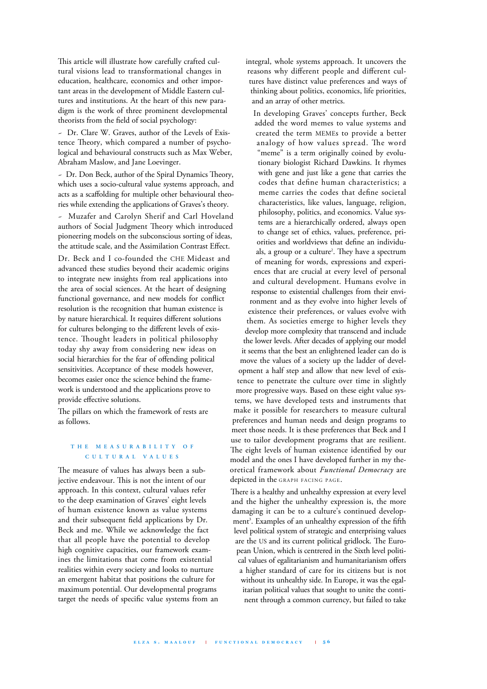This article will illustrate how carefully crafted cultural visions lead to transformational changes in education, healthcare, economics and other important areas in the development of Middle Eastern cultures and institutions. At the heart of this new paradigm is the work of three prominent developmental theorists from the field of social psychology:

~ Dr. Clare W. Graves, author of the Levels of Existence Theory, which compared a number of psychological and behavioural constructs such as Max Weber, Abraham Maslow, and Jane Loevinger.

~ Dr. Don Beck, author of the Spiral Dynamics Theory, which uses a socio-cultural value systems approach, and acts as a scaffolding for multiple other behavioural theories while extending the applications of Graves's theory.

~ Muzafer and Carolyn Sherif and Carl Hoveland authors of Social Judgment Theory which introduced pioneering models on the subconscious sorting of ideas, the attitude scale, and the Assimilation Contrast Effect.

Dr. Beck and I co-founded the CHE Mideast and advanced these studies beyond their academic origins to integrate new insights from real applications into the area of social sciences. At the heart of designing functional governance, and new models for conflict resolution is the recognition that human existence is by nature hierarchical. It requires different solutions for cultures belonging to the different levels of existence. Thought leaders in political philosophy today shy away from considering new ideas on social hierarchies for the fear of offending political sensitivities. Acceptance of these models however, becomes easier once the science behind the framework is understood and the applications prove to provide effective solutions.

The pillars on which the framework of rests are as follows.

## **T H E M E A S U R A B I L I T Y O F C U L T U R A L V A L U E S**

The measure of values has always been a subjective endeavour. This is not the intent of our approach. In this context, cultural values refer to the deep examination of Graves' eight levels of human existence known as value systems and their subsequent field applications by Dr. Beck and me. While we acknowledge the fact that all people have the potential to develop high cognitive capacities, our framework examines the limitations that come from existential realities within every society and looks to nurture an emergent habitat that positions the culture for maximum potential. Our developmental programs target the needs of specific value systems from an integral, whole systems approach. It uncovers the reasons why different people and different cultures have distinct value preferences and ways of thinking about politics, economics, life priorities, and an array of other metrics.

In developing Graves' concepts further, Beck added the word memes to value systems and created the term MEMEs to provide a better analogy of how values spread. The word "meme" is a term originally coined by evolutionary biologist Richard Dawkins. It rhymes with gene and just like a gene that carries the codes that define human characteristics; a meme carries the codes that define societal characteristics, like values, language, religion, philosophy, politics, and economics. Value systems are a hierarchically ordered, always open to change set of ethics, values, preference, priorities and worldviews that define an individuals, a group or a culture<sup>2</sup>. They have a spectrum of meaning for words, expressions and experiences that are crucial at every level of personal and cultural development. Humans evolve in response to existential challenges from their environment and as they evolve into higher levels of existence their preferences, or values evolve with them. As societies emerge to higher levels they develop more complexity that transcend and include the lower levels. After decades of applying our model it seems that the best an enlightened leader can do is move the values of a society up the ladder of development a half step and allow that new level of existence to penetrate the culture over time in slightly more progressive ways. Based on these eight value systems, we have developed tests and instruments that make it possible for researchers to measure cultural preferences and human needs and design programs to meet those needs. It is these preferences that Beck and I use to tailor development programs that are resilient. The eight levels of human existence identified by our model and the ones I have developed further in my theoretical framework about *Functional Democracy* are depicted in the GRAPH FACING PAGE.

There is a healthy and unhealthy expression at every level and the higher the unhealthy expression is, the more damaging it can be to a culture's continued development 3 . Examples of an unhealthy expression of the fifth level political system of strategic and enterprising values are the US and its current political gridlock. The European Union, which is centrered in the Sixth level political values of egalitarianism and humanitarianism offers a higher standard of care for its citizens but is not without its unhealthy side. In Europe, it was the egalitarian political values that sought to unite the continent through a common currency, but failed to take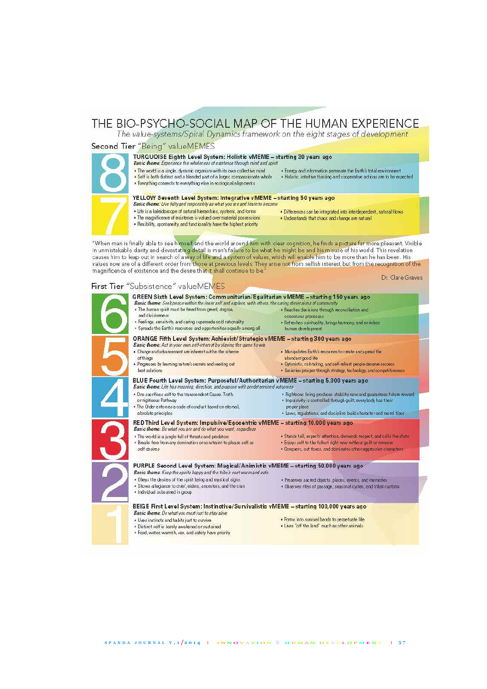# THE BIO-PSYCHO-SOCIAL MAP OF THE HUMAN EXPERIENCE<br>The value-systems/Spiral Dynamics framework on the eight stages of development

## Second Tier "Being" valueMEMES



## TURQUOISE Eighth Level System: Holistic vMEME - starting 30 years ago

#### Basic theme: Experience the wholeness of existence through mind and spirit

- . The world is a single, dynamic organism with its own collective mind . Energy and information permeate the Earth's total environment . Self is both distinct and a blended part of a larger, compassionate whole . Holistic, intuitive thinking and cooperative actions are to be expected
- 
- . Everything connects to everything else in ecological alignments

#### YELLOW Seventh Level System: Integrative vMEME - starting 50 years ago



- Basic theme: Live fully and responsibly as what you are and learn to become . Life is a kaleidoscope of natural hierarchies, systems, and forms
- 
- . Differences can be integrated into interdependent, natural flows . Understands that chaos and change are natural
- The magnificence of existence is valued over material possessions<br>• Hexibility, spontaneity, and functionality have the highest priority

"When man is finally able to see himself and the world around him with clear cognition, he finds a picture far more pleasant. Visible In unmistakable darity and devastating detail is man's failure to be what he might be and his misuse of his world. This revelation causes him to leap out in search of a way of life and a system of values, which will enable him to be more than he has been. His<br>values now are of a different order from those at previous levels. They arise not from selfis magnificence of existence and the desire that it shall continue to be." Dr. Clare Graves

## First Tier "Subsistence" valueMEMES

| . The human spirit must be freed from greed, dogma,                                                                                                                      | · Reaches decisions through reconciliation and                                                                                                |
|--------------------------------------------------------------------------------------------------------------------------------------------------------------------------|-----------------------------------------------------------------------------------------------------------------------------------------------|
| and divisiveness                                                                                                                                                         | consensus processes                                                                                                                           |
| · Feelings, sensitvity, and caring supersede cold rationality<br>· Spreads the Earth's resources and opportunities equally among all                                     | . Refreshes spirituality, brings harmony, and enriches<br>human development                                                                   |
| ORANGE Fifth Level System: Achievist/Strategic vMEME - starting 300 years ago<br>Basic theme: Act in your own self-interest by playing the game to win                   |                                                                                                                                               |
| . Change and advancement are inherent within the scheme                                                                                                                  | . Manipulates Earth's resources to create and spread the                                                                                      |
| of things                                                                                                                                                                | abundant good life                                                                                                                            |
| . Progresses by learning rature's secrets and seeking out<br>best solutions.                                                                                             | · Optimistic, risk-taking, and self-reliant people deserve success.<br>· Societies prosper through strategy, technology, and competitiveness: |
| BLUE Fourth Level System: Purposeful/Authoritarian vMEME - starting 5,000 years ago<br>Basic theme: Life has meaning, direction, and purpose with predetermined outcomes |                                                                                                                                               |
| . One sacrifices self to the transcendent Cause, Truth,                                                                                                                  | . Righteous living produces stability now and guarantees future reward-                                                                       |
| or righteous Pathway                                                                                                                                                     | · impulsivity is controlled through quilt; everybody has their                                                                                |
| . The Order enforces a code of conduct based on eternal,<br>absolute principles                                                                                          | proper place<br>· Laws, regulations, and discipline build character and moral fiber                                                           |
| RED Third Level System: Impulsive/Egocentric vMEME - starting 10,000 years ago<br>Basic theme: Be what you are and do what you want, regardless                          |                                                                                                                                               |
| . The world is a jungle full of threats and predators                                                                                                                    | . Stands tall, expects attention, demands respect, and calls the shots                                                                        |
| . Breaks free from any domination or constraint to please self as                                                                                                        | . Enjoys self to the fullest right now without quilt or remorse.                                                                              |
| self desires                                                                                                                                                             | · Conquers, out-foxes, and dominates other aggressive characters.                                                                             |
| PURPLE Second Level System: Magical/Animistic vMEME - starting 50,000 years ago<br>Basic theme: Keep the spirits happy and the tribe's nest warm and safe                |                                                                                                                                               |
| . Obeys the desires of the spirit being and mystical signs.                                                                                                              | · Preserves sacred objects, places, events, and memories                                                                                      |
| · Shows allegiance to chief, elders, ancestors, and the clan-                                                                                                            | . Observes rites of passage, seasonal cycles, and tribal customs                                                                              |
| · Individual subsumed in group                                                                                                                                           |                                                                                                                                               |
| BEIGE First Level System: Instinctive/Survivalistic vMEME - starting 100,000 years ago                                                                                   |                                                                                                                                               |
| Basic theme: Do what you must just to stay alive                                                                                                                         | . Forms into survival bands to perpetuate life                                                                                                |
| . Uses instincts and habits just to survive<br>* Distinct self is barely awakened or sustained                                                                           | + Lives "off the land" much as other animals                                                                                                  |
| . Food, water, warmth, sex, and safety have priority                                                                                                                     |                                                                                                                                               |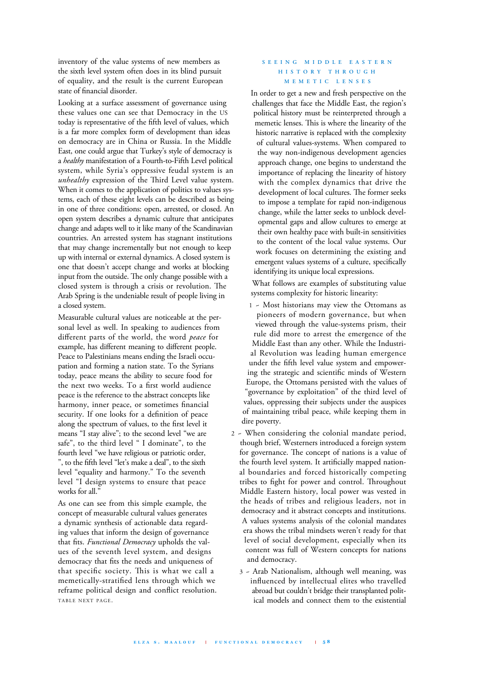inventory of the value systems of new members as the sixth level system often does in its blind pursuit of equality, and the result is the current European state of financial disorder.

Looking at a surface assessment of governance using these values one can see that Democracy in the US today is representative of the fifth level of values, which is a far more complex form of development than ideas on democracy are in China or Russia. In the Middle East, one could argue that Turkey's style of democracy is a *healthy* manifestation of a Fourth-to-Fifth Level political system, while Syria's oppressive feudal system is an unhealthy expression of the Third Level value system. When it comes to the application of politics to values systems, each of these eight levels can be described as being in one of three conditions: open, arrested, or closed. An open system describes a dynamic culture that anticipates change and adapts well to it like many of the Scandinavian countries. An arrested system has stagnant institutions that may change incrementally but not enough to keep up with internal or external dynamics. A closed system is one that doesn't accept change and works at blocking input from the outside. The only change possible with a closed system is through a crisis or revolution. The Arab Spring is the undeniable result of people living in a closed system.

Measurable cultural values are noticeable at the personal level as well. In speaking to audiences from different parts of the world, the word *peace* for example, has different meaning to different people. Peace to Palestinians means ending the Israeli occupation and forming a nation state. To the Syrians today, peace means the ability to secure food for the next two weeks. To a first world audience peace is the reference to the abstract concepts like harmony, inner peace, or sometimes financial security. If one looks for a definition of peace along the spectrum of values, to the first level it means "I stay alive"; to the second level "we are safe", to the third level " I dominate", to the fourth level "we have religious or patriotic order, ", to the fifth level "let's make a deal", to the sixth level "equality and harmony." To the seventh level "I design systems to ensure that peace works for all.'

As one can see from this simple example, the concept of measurable cultural values generates a dynamic synthesis of actionable data regarding values that inform the design of governance that fits. *Functional Democracy* upholds the values of the seventh level system, and designs democracy that fits the needs and uniqueness of that specific society. This is what we call a memetically-stratified lens through which we reframe political design and conflict resolution. TABLE NEXT PAGE.

### **S E E I N G M I D D L E E A S T E R N H I S T O R Y T H R O U G H M E M E T I C L E N S E S**

In order to get a new and fresh perspective on the challenges that face the Middle East, the region's political history must be reinterpreted through a memetic lenses. This is where the linearity of the historic narrative is replaced with the complexity of cultural values-systems. When compared to the way non-indigenous development agencies approach change, one begins to understand the importance of replacing the linearity of history with the complex dynamics that drive the development of local cultures. The former seeks to impose a template for rapid non-indigenous change, while the latter seeks to unblock developmental gaps and allow cultures to emerge at their own healthy pace with built-in sensitivities to the content of the local value systems. Our work focuses on determining the existing and emergent values systems of a culture, specifically identifying its unique local expressions.

What follows are examples of substituting value systems complexity for historic linearity:

- 1 ~ Most historians may view the Ottomans as pioneers of modern governance, but when viewed through the value-systems prism, their rule did more to arrest the emergence of the Middle East than any other. While the Industrial Revolution was leading human emergence under the fifth level value system and empowering the strategic and scientific minds of Western Europe, the Ottomans persisted with the values of "governance by exploitation" of the third level of values, oppressing their subjects under the auspices of maintaining tribal peace, while keeping them in dire poverty.
- 2 ~ When considering the colonial mandate period, though brief, Westerners introduced a foreign system for governance. The concept of nations is a value of the fourth level system. It artificially mapped national boundaries and forced historically competing tribes to fight for power and control. Throughout Middle Eastern history, local power was vested in the heads of tribes and religious leaders, not in democracy and it abstract concepts and institutions. A values systems analysis of the colonial mandates era shows the tribal mindsets weren't ready for that level of social development, especially when its content was full of Western concepts for nations and democracy.
	- 3 ~ Arab Nationalism, although well meaning, was influenced by intellectual elites who travelled abroad but couldn't bridge their transplanted political models and connect them to the existential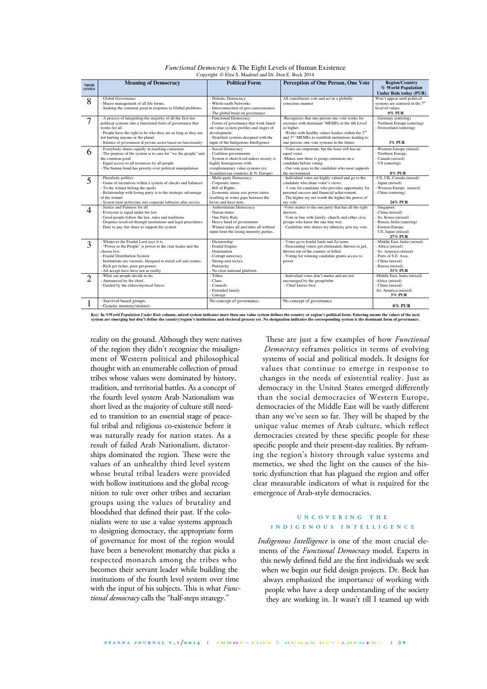|                              |                                                                                                               | <b>Political Form</b>                                                  |                                                                                                                       | <b>Region/Country</b>                          |
|------------------------------|---------------------------------------------------------------------------------------------------------------|------------------------------------------------------------------------|-----------------------------------------------------------------------------------------------------------------------|------------------------------------------------|
| <b>MEME</b><br><b>LEVELS</b> | <b>Meaning of Democracy</b>                                                                                   |                                                                        | <b>Perception of One Person, One Vote</b>                                                                             | % World Population                             |
|                              |                                                                                                               |                                                                        |                                                                                                                       | <b>Under Rule today (PUR)</b>                  |
| 8                            | Global Governance                                                                                             | - Holonic Democracy                                                    | All constituents vote and act in a globally                                                                           | Won't appear until political                   |
|                              | Macro management of all life forms.                                                                           | - Whole-earth Networks                                                 | conscious manner                                                                                                      | systems are centered in the 7 <sup>th</sup>    |
|                              | Seeking the common good in response to Global problems.                                                       | - Interconnection of geo-consciousness                                 |                                                                                                                       | level of values                                |
|                              |                                                                                                               | - The global brain on governance                                       |                                                                                                                       | 0% PUR                                         |
| 7                            | - A process of integrating the majority of all the first tier                                                 | - Functional Democracy                                                 | -Recognizes that one-person one-vote works for                                                                        | - Germany (entering)                           |
|                              | political systems into a functional form of governance that                                                   | - Forms of governance that work based                                  | societies with dominant 'MEMEs at the 4th Level                                                                       | - Northern Europe (entering)                   |
|                              | works for all                                                                                                 | on value-system profiles and stages of                                 | or higher.                                                                                                            | - Switzerland (entering)                       |
|                              | - People have the right to be who they are as long as they are<br>not hurting anyone or the planet            | development.<br>- Stratified systems designed with the                 | - Works with healthy values leaders within the 2 <sup>nd</sup><br>and 3rd 'MEMEs to establish institutions leading to |                                                |
|                              | - Balance of government & private sector based on functionality                                               | input of the Indigenous Intelligence                                   | one-person, one-vote systems in the future.                                                                           | <b>3% PUR</b>                                  |
|                              |                                                                                                               |                                                                        |                                                                                                                       |                                                |
| 6                            | - Everybody shares equally in reaching consensus                                                              | - Social Democracy                                                     | - Votes are important, but the loser still has an                                                                     | - Western Europe (mixed)                       |
|                              | - The purpose of the system is to care for "we the people" and<br>the common good                             | Coalition governments<br>- System is short-lived unless society is     | equal voice<br>-Makes sure there is group consensus on a                                                              | - Northern Europe.<br>- Canada (mixed)         |
|                              | - Equal access to all resources by all people                                                                 | highly homogenous with                                                 | candidate before voting                                                                                               | - US (entering)                                |
|                              | - The human bond has priority over political manipulation                                                     | complementary value systems (ex:                                       | - Our vote goes to the candidate who most supports                                                                    |                                                |
|                              |                                                                                                               | Scandinavian countries & N. Europe)                                    | the environment                                                                                                       | <b>8% PUR</b>                                  |
|                              | - Pluralistic politics                                                                                        | - Multi-party Democracy                                                | - Individual votes are highly valued and go to the                                                                    | -US, UK, Canada (mixed)                        |
| $\overline{5}$               | Game of incentives within a system of checks and balances                                                     | Corporate states.                                                      | candidate who share voter's views.                                                                                    | - Japan (mixed)                                |
|                              | To the winner belong the spoils                                                                               | - Bill of Rights.                                                      | - I vote for candidate who provides opportunity for                                                                   | - Western Europe (mixed)                       |
|                              | - Relationship with losing party is to the strategic advantage                                                | - Economic status sets power ratios                                    | personal success and financial achievement.                                                                           | - China (entering)                             |
|                              | of the winner                                                                                                 | resulting in wider gaps between the                                    | - The higher my net worth the higher the power of                                                                     |                                                |
|                              | System turns politicians into corporate lobbyists after service                                               | haves and have-nots.                                                   | my vote                                                                                                               | 24% PUR                                        |
| 4                            | - Justice and Fairness for all                                                                                | - Authoritarian Democracy                                              | -Votes matter to the one party that has all the right                                                                 | Singapore                                      |
|                              | Everyone is equal under the law                                                                               | - Nation states                                                        | answers.                                                                                                              | - China (mixed)                                |
|                              | Good people follow the law, rules and traditions                                                              | - One Party Rule                                                       | -Vote in line with family, church, and other civic                                                                    | - So. Korea (mixed)                            |
|                              | Disputes resolved through institutions and legal procedures<br>- Duty to pay fair share to support the system | - Heavy hand of government<br>- Winner takes all and rules all without | groups who know the one true way.<br>- Candidate who shares my ethnicity gets my vote.                                | - Russia, India (entering)<br>- Eastern Europe |
|                              |                                                                                                               | input from the losing minority parties.                                |                                                                                                                       | - US, Japan (mixed)                            |
|                              |                                                                                                               |                                                                        |                                                                                                                       | 27% PUR                                        |
|                              | - Whatever the Feudal Lord says it is.                                                                        | - Dictatorship                                                         | - Votes go to feudal lords and Za'eems.                                                                               | - Middle East, India (mixed)                   |
| 3                            | "Power to the People" is power to the clan leader and the                                                     | - Feudal Empire                                                        | - Descending voters get eliminated, thrown in jail,                                                                   | - Africa (mixed)                               |
|                              | chosen few.                                                                                                   | - Domination                                                           | thrown out of the country or killed                                                                                   | - So. America (mixed)                          |
|                              | - Feudal Distribution System.                                                                                 | - Corrupt autocracy                                                    | - Voting for winning candidate grants access to                                                                       | - Parts of S.E. Asia.                          |
|                              | Institutions are vacuous. Designed to enrich self and cronies.                                                | - Strong-arm tactics                                                   | power                                                                                                                 | - China (mixed)                                |
|                              | Rich get richer, poor get poorer.                                                                             | - Patriarchy                                                           |                                                                                                                       | - Russia (mixed)                               |
|                              | All accept have-have not as reality                                                                           | - No clear national platform.                                          |                                                                                                                       | 33% PUR                                        |
| 2                            | - What our people decide to do.                                                                               | - Tribes                                                               | - Individual votes don't matter and are not                                                                           | -Middle East, India (mixed)                    |
|                              | Announced by the chief.<br>Guided by the elders/mystical forces                                               | - Clans<br>- Councils                                                  | encouraged by the group/tribe<br>- Chief knows best                                                                   | -Africa (mixed)<br>- China (mixed)             |
|                              |                                                                                                               | - Extended family                                                      |                                                                                                                       | -So. America (mixed)                           |
|                              |                                                                                                               | - Lineage                                                              |                                                                                                                       | 5% PUR                                         |
|                              | Survival-based groups.                                                                                        | No concept of governance.                                              | No concept of governance                                                                                              |                                                |
| T                            | Genetic memory/instinct.                                                                                      |                                                                        |                                                                                                                       | <b>0% PUR</b>                                  |
|                              |                                                                                                               |                                                                        |                                                                                                                       |                                                |

| <i>Functional Democracy &amp; The Eight Levels of Human Existence</i> |  |  |                                                      |  |
|-----------------------------------------------------------------------|--|--|------------------------------------------------------|--|
|                                                                       |  |  | Copyright © Elza S. Maalouf and Dr. Don E. Beck 2014 |  |

Key: In *%World Population Under Rule* column, mixed system indicates more than one value system defines the country or region's political form. Entering means the values of the next<br>system are emerging but don't define th

reality on the ground. Although they were natives of the region they didn't recognize the misalignment of Western political and philosophical thought with an enumerable collection of proud tribes whose values were dominated by history, tradition, and territorial battles. As a concept of the fourth level system Arab Nationalism was short lived as the majority of culture still needed to transition to an essential stage of peaceful tribal and religious co-existence before it was naturally ready for nation states. As a result of failed Arab Nationalism, dictatorships dominated the region. These were the values of an unhealthy third level system whose brutal tribal leaders were provided with hollow institutions and the global recognition to rule over other tribes and sectarian groups using the values of brutality and bloodshed that defined their past. If the colonialists were to use a value systems approach to designing democracy, the appropriate form of governance for most of the region would have been a benevolent monarchy that picks a respected monarch among the tribes who becomes their servant leader while building the institutions of the fourth level system over time with the input of his subjects. This is what *Functional democracy* calls the "half-steps strategy."

These are just a few examples of how *Functional Democracy* reframes politics in terms of evolving systems of social and political models. It designs for values that continue to emerge in response to changes in the needs of existential reality. Just as democracy in the United States emerged differently than the social democracies of Western Europe, democracies of the Middle East will be vastly different than any we've seen so far. They will be shaped by the unique value memes of Arab culture, which reflect democracies created by these specific people for these specific people and their present-day realities. By reframing the region's history through value systems and memetics, we shed the light on the causes of the historic dysfunction that has plagued the region and offer clear measurable indicators of what is required for the emergence of Arab-style democracies.

## **U N C O V E R I N G T H E I N D I G E N O U S I N T E L L I G E N C E**

*Indigenous Intelligence* is one of the most crucial elements of the *Functional Democracy* model. Experts in this newly defined field are the first individuals we seek when we begin our field design projects. Dr. Beck has always emphasized the importance of working with people who have a deep understanding of the society they are working in. It wasn't till I teamed up with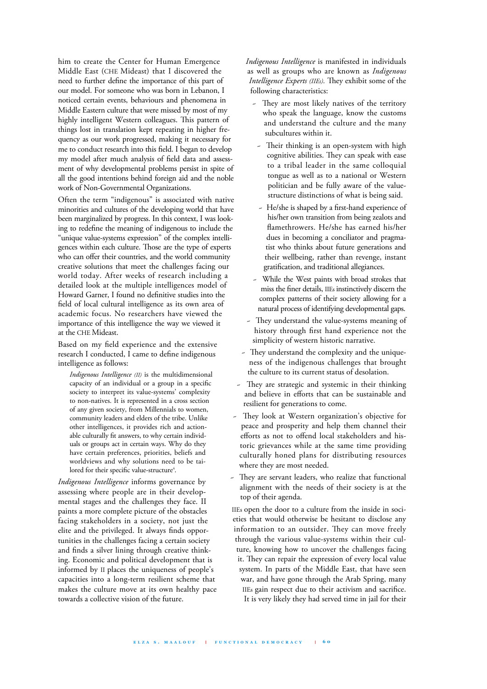him to create the Center for Human Emergence Middle East (CHE Mideast) that I discovered the need to further define the importance of this part of our model. For someone who was born in Lebanon, I noticed certain events, behaviours and phenomena in Middle Eastern culture that were missed by most of my highly intelligent Western colleagues. This pattern of things lost in translation kept repeating in higher frequency as our work progressed, making it necessary for me to conduct research into this field. I began to develop my model after much analysis of field data and assessment of why developmental problems persist in spite of all the good intentions behind foreign aid and the noble work of Non-Governmental Organizations.

Often the term "indigenous" is associated with native minorities and cultures of the developing world that have been marginalized by progress. In this context, I was looking to redefine the meaning of indigenous to include the "unique value-systems expression" of the complex intelligences within each culture. Those are the type of experts who can offer their countries, and the world community creative solutions that meet the challenges facing our world today. After weeks of research including a detailed look at the multiple intelligences model of Howard Garner, I found no definitive studies into the field of local cultural intelligence as its own area of academic focus. No researchers have viewed the importance of this intelligence the way we viewed it at the CHE Mideast.

Based on my field experience and the extensive research I conducted, I came to define indigenous intelligence as follows:

*Indigenous Intelligence (II)* is the multidimensional capacity of an individual or a group in a specific society to interpret its value-systems' complexity to non-natives. It is represented in a cross section of any given society, from Millennials to women, community leaders and elders of the tribe. Unlike other intelligences, it provides rich and actionable culturally fit answers, to why certain individuals or groups act in certain ways. Why do they have certain preferences, priorities, beliefs and worldviews and why solutions need to be tailored for their specific value-structure<sup>4</sup>.

*Indigenous Intelligence* informs governance by assessing where people are in their developmental stages and the challenges they face. II paints a more complete picture of the obstacles facing stakeholders in a society, not just the elite and the privileged. It always finds opportunities in the challenges facing a certain society and finds a silver lining through creative thinking. Economic and political development that is informed by II places the uniqueness of people's capacities into a long-term resilient scheme that makes the culture move at its own healthy pace towards a collective vision of the future.

*Indigenous Intelligence* is manifested in individuals as well as groups who are known as *Indigenous Intelligence Experts* (IIEs). They exhibit some of the following characteristics:

- They are most likely natives of the territory who speak the language, know the customs and understand the culture and the many subcultures within it.
- Their thinking is an open-system with high cognitive abilities. They can speak with ease to a tribal leader in the same colloquial tongue as well as to a national or Western politician and be fully aware of the valuestructure distinctions of what is being said.
- ~ He/she is shaped by a first-hand experience of his/her own transition from being zealots and flamethrowers. He/she has earned his/her dues in becoming a conciliator and pragmatist who thinks about future generations and their wellbeing, rather than revenge, instant gratification, and traditional allegiances.
- ~ While the West paints with broad strokes that miss the finer details, IIEs instinctively discern the complex patterns of their society allowing for a natural process of identifying developmental gaps.
- They understand the value-systems meaning of history through first hand experience not the simplicity of western historic narrative.
- They understand the complexity and the uniqueness of the indigenous challenges that brought the culture to its current status of desolation.
- ~ Tey are strategic and systemic in their thinking and believe in efforts that can be sustainable and resilient for generations to come.
- ~ Tey look at Western organization's objective for peace and prosperity and help them channel their efforts as not to offend local stakeholders and historic grievances while at the same time providing culturally honed plans for distributing resources where they are most needed.
- They are servant leaders, who realize that functional alignment with the needs of their society is at the top of their agenda.

IIEs open the door to a culture from the inside in societies that would otherwise be hesitant to disclose any information to an outsider. They can move freely through the various value-systems within their culture, knowing how to uncover the challenges facing it. They can repair the expression of every local value system. In parts of the Middle East, that have seen war, and have gone through the Arab Spring, many IIEs gain respect due to their activism and sacrifice. It is very likely they had served time in jail for their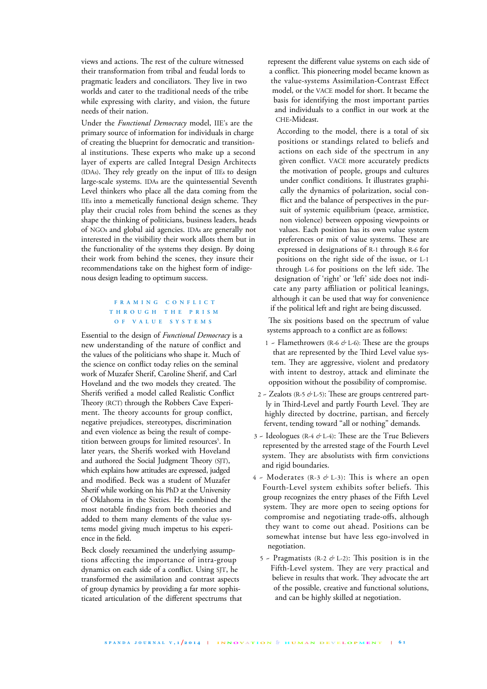views and actions. The rest of the culture witnessed their transformation from tribal and feudal lords to pragmatic leaders and conciliators. They live in two worlds and cater to the traditional needs of the tribe while expressing with clarity, and vision, the future needs of their nation.

Under the *Functional Democracy* model, IIE's are the primary source of information for individuals in charge of creating the blueprint for democratic and transitional institutions. These experts who make up a second layer of experts are called Integral Design Architects (IDAs). They rely greatly on the input of IIEs to design large-scale systems. IDAs are the quintessential Seventh Level thinkers who place all the data coming from the IIEs into a memetically functional design scheme. They play their crucial roles from behind the scenes as they shape the thinking of politicians, business leaders, heads of NGOs and global aid agencies. IDAs are generally not interested in the visibility their work allots them but in the functionality of the systems they design. By doing their work from behind the scenes, they insure their recommendations take on the highest form of indigenous design leading to optimum success.

## **F R A M I N G C O N F L I C T T H R O U G H T H E P R I S M O F V A L U E S Y S T E M S**

Essential to the design of *Functional Democracy* is a new understanding of the nature of conflict and the values of the politicians who shape it. Much of the science on conflict today relies on the seminal work of Muzafer Sherif, Caroline Sherif, and Carl Hoveland and the two models they created. The Sherifs verified a model called Realistic Conflict Theory (RCT) through the Robbers Cave Experiment. The theory accounts for group conflict, negative prejudices, stereotypes, discrimination and even violence as being the result of competition between groups for limited resources 5 . In later years, the Sherifs worked with Hoveland and authored the Social Judgment Theory (SJT), which explains how attitudes are expressed, judged and modified. Beck was a student of Muzafer Sherif while working on his PhD at the University of Oklahoma in the Sixties. He combined the most notable findings from both theories and added to them many elements of the value systems model giving much impetus to his experience in the field.

Beck closely reexamined the underlying assumptions affecting the importance of intra-group dynamics on each side of a conflict. Using SJT, he transformed the assimilation and contrast aspects of group dynamics by providing a far more sophisticated articulation of the different spectrums that represent the different value systems on each side of a conflict. This pioneering model became known as the value-systems Assimilation-Contrast Effect model, or the VACE model for short. It became the basis for identifying the most important parties and individuals to a conflict in our work at the CHE-Mideast.

According to the model, there is a total of six positions or standings related to beliefs and actions on each side of the spectrum in any given conflict. VACE more accurately predicts the motivation of people, groups and cultures under conflict conditions. It illustrates graphically the dynamics of polarization, social conflict and the balance of perspectives in the pursuit of systemic equilibrium (peace, armistice, non violence) between opposing viewpoints or values. Each position has its own value system preferences or mix of value systems. These are expressed in designations of R-1 through R-6 for positions on the right side of the issue, or L-1 through L-6 for positions on the left side. The designation of 'right' or 'left' side does not indicate any party affiliation or political leanings, although it can be used that way for convenience if the political left and right are being discussed.

The six positions based on the spectrum of value systems approach to a conflict are as follows:

- 1 ~ Flamethrowers (R-6  $\phi$  L-6): These are the groups that are represented by the Third Level value system. They are aggressive, violent and predatory with intent to destroy, attack and eliminate the opposition without the possibility of compromise.
- 2 Zealots (R-5 & L-5): These are groups centrered partly in Third-Level and partly Fourth Level. They are highly directed by doctrine, partisan, and fiercely fervent, tending toward "all or nothing" demands.
- 3 ~ Ideologues (R-4 *&* L-4): Tese are the True Believers represented by the arrested stage of the Fourth Level system. They are absolutists with firm convictions and rigid boundaries.
- 4 ~ Moderates (R-3 *&* L-3): Tis is where an open Fourth-Level system exhibits softer beliefs. This group recognizes the entry phases of the Fifth Level system. They are more open to seeing options for compromise and negotiating trade-offs, although they want to come out ahead. Positions can be somewhat intense but have less ego-involved in negotiation.
	- 5 ~ Pragmatists (R-2 *&* L-2): Tis position is in the Fifth-Level system. They are very practical and believe in results that work. They advocate the art of the possible, creative and functional solutions, and can be highly skilled at negotiation.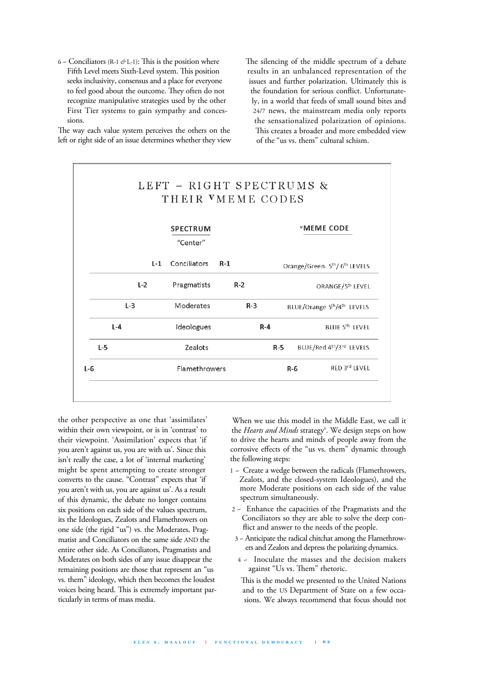6 ~ Conciliators (R-1  $\acute{\sigma}$  L-1): This is the position where Fifth Level meets Sixth-Level system. This position seeks inclusivity, consensus and a place for everyone to feel good about the outcome. They often do not recognize manipulative strategies used by the other First Tier systems to gain sympathy and concessions.

The way each value system perceives the others on the left or right side of an issue determines whether they view The silencing of the middle spectrum of a debate results in an unbalanced representation of the issues and further polarization. Ultimately this is the foundation for serious conflict. Unfortunately, in a world that feeds of small sound bites and 24/7 news, the mainstream media only reports the sensationalized polarization of opinions. This creates a broader and more embedded view of the "us vs. them" cultural schism.



the other perspective as one that 'assimilates' within their own viewpoint, or is in 'contrast' to their viewpoint. 'Assimilation' expects that 'if you aren't against us, you are with us'. Since this isn't really the case, a lot of 'internal marketing' might be spent attempting to create stronger converts to the cause. "Contrast" expects that 'if you aren't with us, you are against us'. As a result of this dynamic, the debate no longer contains six positions on each side of the values spectrum, its the Ideologues, Zealots and Flamethrowers on one side (the rigid "us") vs. the Moderates, Pragmatist and Conciliators on the same side AND the entire other side. As Conciliators, Pragmatists and Moderates on both sides of any issue disappear the remaining positions are those that represent an "us vs. them" ideology, which then becomes the loudest voices being heard. This is extremely important particularly in terms of mass media.

When we use this model in the Middle East, we call it the *Hearts and Minds* strategy<sup>6</sup>. We design steps on how to drive the hearts and minds of people away from the corrosive effects of the "us vs. them" dynamic through the following steps:

- 1 ~ Create a wedge between the radicals (Flamethrowers, Zealots, and the closed-system Ideologues), and the more Moderate positions on each side of the value spectrum simultaneously.
- 2 ~ Enhance the capacities of the Pragmatists and the Conciliators so they are able to solve the deep conflict and answer to the needs of the people.
- 3 Anticipate the radical chitchat among the Flamethrowers and Zealots and depress the polarizing dynamics.
- 4 ~ Inoculate the masses and the decision makers against "Us vs. Them" rhetoric.
- This is the model we presented to the United Nations and to the US Department of State on a few occasions. We always recommend that focus should not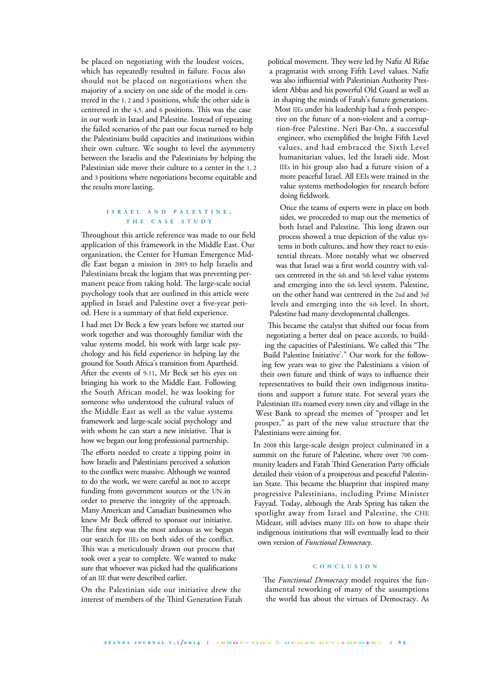be placed on negotiating with the loudest voices, which has repeatedly resulted in failure. Focus also should not be placed on negotiations when the majority of a society on one side of the model is centrered in the 1, 2 and 3 positions, while the other side is centrered in the 4,5, and 6 positions. This was the case in our work in Israel and Palestine. Instead of repeating the failed scenarios of the past our focus turned to help the Palestinians build capacities and institutions within their own culture. We sought to level the asymmetry between the Israelis and the Palestinians by helping the Palestinian side move their culture to a center in the 1, 2 and 3 positions where negotiations become equitable and the results more lasting.

## **I S R A E L A N D P A L E S T I N E , T H E C A S E S T U D Y**

Throughout this article reference was made to our field application of this framework in the Middle East. Our organization, the Center for Human Emergence Middle East began a mission in 2005 to help Israelis and Palestinians break the logjam that was preventing permanent peace from taking hold. The large-scale social psychology tools that are outlined in this article were applied in Israel and Palestine over a five-year period. Here is a summary of that field experience.

I had met Dr Beck a few years before we started our work together and was thoroughly familiar with the value systems model, his work with large scale psychology and his field experience in helping lay the ground for South Africa's transition from Apartheid. After the events of 9-11, Mr Beck set his eyes on bringing his work to the Middle East. Following the South African model, he was looking for someone who understood the cultural values of the Middle East as well as the value systems framework and large-scale social psychology and with whom he can start a new initiative. That is how we began our long professional partnership.

The efforts needed to create a tipping point in how Israelis and Palestinians perceived a solution to the conflict were massive. Although we wanted to do the work, we were careful as not to accept funding from government sources or the UN in order to preserve the integrity of the approach. Many American and Canadian businessmen who knew Mr Beck offered to sponsor our initiative. The first step was the most arduous as we began our search for IIEs on both sides of the conflict. This was a meticulously drawn out process that took over a year to complete. We wanted to make sure that whoever was picked had the qualifications of an IIE that were described earlier.

On the Palestinian side our initiative drew the interest of members of the Third Generation Fatah political movement. They were led by Nafiz Al Rifae a pragmatist with strong Fifth Level values. Nafiz was also influential with Palestinian Authority President Abbas and his powerful Old Guard as well as in shaping the minds of Fatah's future generations. Most IIEs under his leadership had a fresh perspective on the future of a non-violent and a corruption-free Palestine. Neri Bar-On, a successful engineer, who exemplified the bright Fifth Level values, and had embraced the Sixth Level humanitarian values, led the Israeli side. Most IIEs in his group also had a future vision of a more peaceful Israel. All EEIs were trained in the value systems methodologies for research before doing fieldwork.

Once the teams of experts were in place on both sides, we proceeded to map out the memetics of both Israel and Palestine. This long drawn out process showed a true depiction of the value systems in both cultures, and how they react to existential threats. More notably what we observed was that Israel was a first world country with values centrered in the 4th and 5th level value systems and emerging into the 6th level system. Palestine, on the other hand was centrered in the 2nd and 3rd levels and emerging into the 4th level. In short, Palestine had many developmental challenges.

This became the catalyst that shifted our focus from negotiating a better deal on peace accords, to building the capacities of Palestinians. We called this "The Build Palestine Initiative<sup>7</sup>." Our work for the following few years was to give the Palestinians a vision of their own future and think of ways to influence their representatives to build their own indigenous institutions and support a future state. For several years the Palestinian IIEs roamed every town city and village in the West Bank to spread the memes of "prosper and let prosper," as part of the new value structure that the Palestinians were aiming for.

In 2008 this large-scale design project culminated in a summit on the future of Palestine, where over 700 community leaders and Fatah Third Generation Party officials detailed their vision of a prosperous and peaceful Palestinian State. This became the blueprint that inspired many progressive Palestinians, including Prime Minister Fayyad. Today, although the Arab Spring has taken the spotlight away from Israel and Palestine, the CHE Mideast, still advises many IIEs on how to shape their indigenous institutions that will eventually lead to their own version of *Functional Democracy*.

## **C O N C L U S I O N**

The *Functional Democracy* model requires the fundamental reworking of many of the assumptions the world has about the virtues of Democracy. As